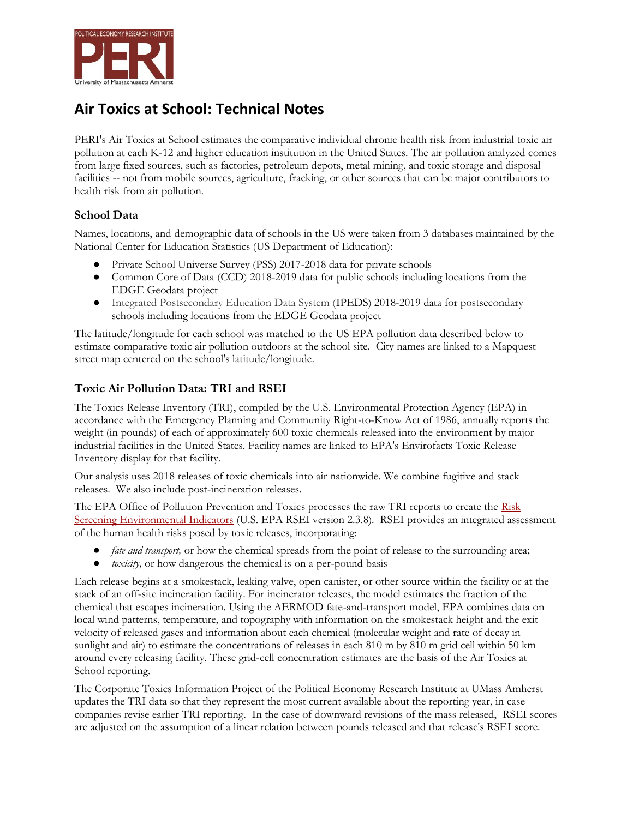

## **Air Toxics at School: Technical Notes**

PERI's Air Toxics at School estimates the comparative individual chronic health risk from industrial toxic air pollution at each K-12 and higher education institution in the United States. The air pollution analyzed comes from large fixed sources, such as factories, petroleum depots, metal mining, and toxic storage and disposal facilities -- not from mobile sources, agriculture, fracking, or other sources that can be major contributors to health risk from air pollution.

## **School Data**

Names, locations, and demographic data of schools in the US were taken from 3 databases maintained by the National Center for Education Statistics (US Department of Education):

- Private School Universe Survey (PSS) 2017-2018 data for private schools
- Common Core of Data (CCD) 2018-2019 data for public schools including locations from the EDGE Geodata project
- Integrated Postsecondary Education Data System (IPEDS) 2018-2019 data for postsecondary schools including locations from the EDGE Geodata project

The latitude/longitude for each school was matched to the US EPA pollution data described below to estimate comparative toxic air pollution outdoors at the school site. City names are linked to a Mapquest street map centered on the school's latitude/longitude.

## **Toxic Air Pollution Data: TRI and RSEI**

The Toxics Release Inventory (TRI), compiled by the U.S. Environmental Protection Agency (EPA) in accordance with the Emergency Planning and Community Right-to-Know Act of 1986, annually reports the weight (in pounds) of each of approximately 600 toxic chemicals released into the environment by major industrial facilities in the United States. Facility names are linked to EPA's Envirofacts Toxic Release Inventory display for that facility.

Our analysis uses 2018 releases of toxic chemicals into air nationwide. We combine fugitive and stack releases. We also include post-incineration releases.

The EPA Office of Pollution Prevention and Toxics processes the raw TRI reports to create the Risk [Screening Environmental Indicators](https://www.epa.gov/rsei) (U.S. EPA RSEI version 2.3.8). RSEI provides an integrated assessment of the human health risks posed by toxic releases, incorporating:

- *fate and transport,* or how the chemical spreads from the point of release to the surrounding area;
- *toxicity,* or how dangerous the chemical is on a per-pound basis

Each release begins at a smokestack, leaking valve, open canister, or other source within the facility or at the stack of an off-site incineration facility. For incinerator releases, the model estimates the fraction of the chemical that escapes incineration. Using the AERMOD fate-and-transport model, EPA combines data on local wind patterns, temperature, and topography with information on the smokestack height and the exit velocity of released gases and information about each chemical (molecular weight and rate of decay in sunlight and air) to estimate the concentrations of releases in each 810 m by 810 m grid cell within 50 km around every releasing facility. These grid-cell concentration estimates are the basis of the Air Toxics at School reporting.

The Corporate Toxics Information Project of the Political Economy Research Institute at UMass Amherst updates the TRI data so that they represent the most current available about the reporting year, in case companies revise earlier TRI reporting. In the case of downward revisions of the mass released, RSEI scores are adjusted on the assumption of a linear relation between pounds released and that release's RSEI score.